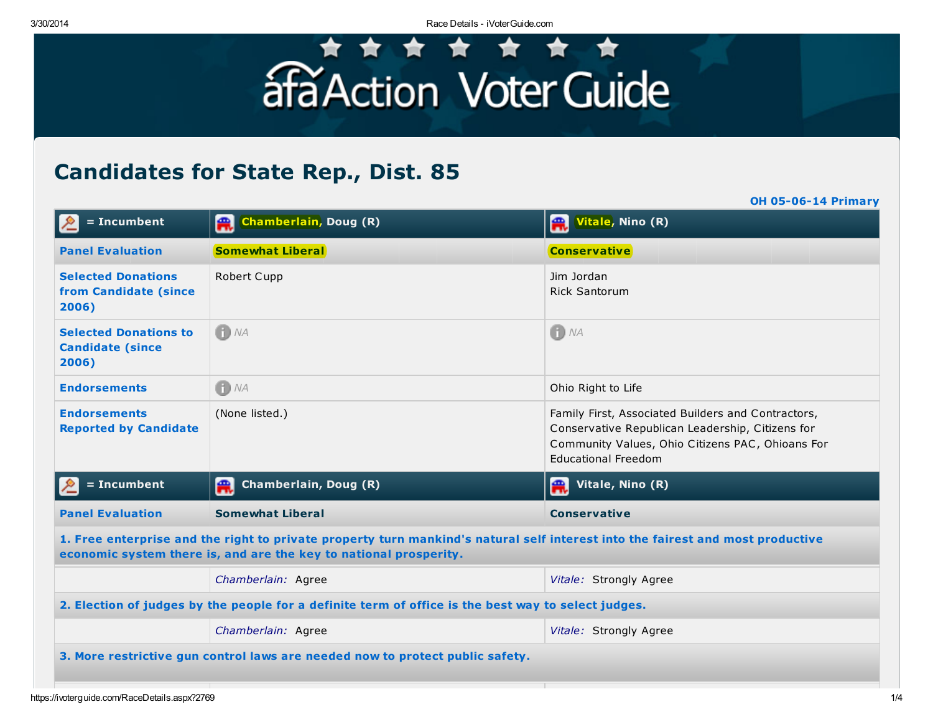3/30/2014 Race Details - iVoterGuide.com

## afaAction Voter Guide

## Candidates for State Rep., Dist. 85

OH 05-06-14 Primary

| $= In cum bent$                                                                                                                                                                                     | Chamberlain, Doug (R)              | Vitale, Nino (R)                                                                                                                                                                         |  |  |
|-----------------------------------------------------------------------------------------------------------------------------------------------------------------------------------------------------|------------------------------------|------------------------------------------------------------------------------------------------------------------------------------------------------------------------------------------|--|--|
| <b>Panel Evaluation</b>                                                                                                                                                                             | <b>Somewhat Liberal</b>            | <b>Conservative</b>                                                                                                                                                                      |  |  |
| <b>Selected Donations</b><br>from Candidate (since<br>2006)                                                                                                                                         | Robert Cupp                        | Jim Jordan<br><b>Rick Santorum</b>                                                                                                                                                       |  |  |
| <b>Selected Donations to</b><br><b>Candidate (since</b><br>2006)                                                                                                                                    | $f$ $NA$                           | $\bigoplus$ NA                                                                                                                                                                           |  |  |
| <b>Endorsements</b>                                                                                                                                                                                 | $f)$ NA                            | Ohio Right to Life                                                                                                                                                                       |  |  |
| <b>Endorsements</b><br><b>Reported by Candidate</b>                                                                                                                                                 | (None listed.)                     | Family First, Associated Builders and Contractors,<br>Conservative Republican Leadership, Citizens for<br>Community Values, Ohio Citizens PAC, Ohioans For<br><b>Educational Freedom</b> |  |  |
| $= In cum bent$                                                                                                                                                                                     | <b>Chamberlain, Doug (R)</b><br>A. | Vitale, Nino (R)<br>Æ.                                                                                                                                                                   |  |  |
| <b>Panel Evaluation</b>                                                                                                                                                                             | <b>Somewhat Liberal</b>            | <b>Conservative</b>                                                                                                                                                                      |  |  |
| 1. Free enterprise and the right to private property turn mankind's natural self interest into the fairest and most productive<br>economic system there is, and are the key to national prosperity. |                                    |                                                                                                                                                                                          |  |  |
|                                                                                                                                                                                                     | Chamberlain: Agree                 | Vitale: Strongly Agree                                                                                                                                                                   |  |  |
| 2. Election of judges by the people for a definite term of office is the best way to select judges.                                                                                                 |                                    |                                                                                                                                                                                          |  |  |
|                                                                                                                                                                                                     | Chamberlain: Agree                 | Vitale: Strongly Agree                                                                                                                                                                   |  |  |
| 3. More restrictive gun control laws are needed now to protect public safety.                                                                                                                       |                                    |                                                                                                                                                                                          |  |  |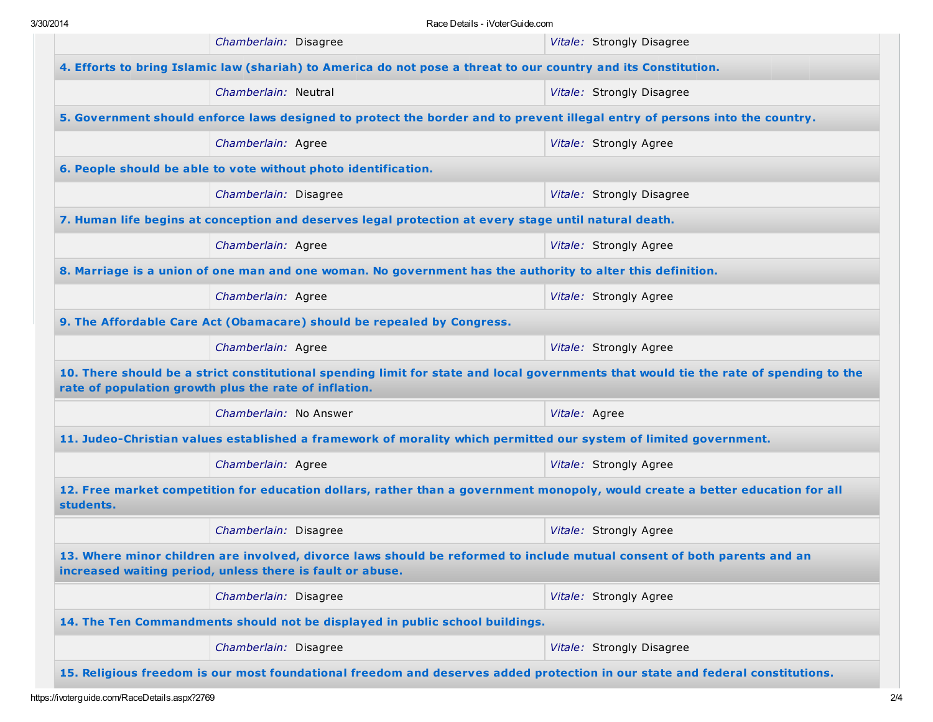|                                                                                                                                                                                                | Chamberlain: Disagree                                                                                            | Vitale: Strongly Disagree |  |  |
|------------------------------------------------------------------------------------------------------------------------------------------------------------------------------------------------|------------------------------------------------------------------------------------------------------------------|---------------------------|--|--|
| 4. Efforts to bring Islamic law (shariah) to America do not pose a threat to our country and its Constitution.                                                                                 |                                                                                                                  |                           |  |  |
|                                                                                                                                                                                                | Chamberlain: Neutral                                                                                             | Vitale: Strongly Disagree |  |  |
| 5. Government should enforce laws designed to protect the border and to prevent illegal entry of persons into the country.                                                                     |                                                                                                                  |                           |  |  |
|                                                                                                                                                                                                | Chamberlain: Agree                                                                                               | Vitale: Strongly Agree    |  |  |
| 6. People should be able to vote without photo identification.                                                                                                                                 |                                                                                                                  |                           |  |  |
|                                                                                                                                                                                                | Chamberlain: Disagree                                                                                            | Vitale: Strongly Disagree |  |  |
| 7. Human life begins at conception and deserves legal protection at every stage until natural death.                                                                                           |                                                                                                                  |                           |  |  |
|                                                                                                                                                                                                | Chamberlain: Agree                                                                                               | Vitale: Strongly Agree    |  |  |
| 8. Marriage is a union of one man and one woman. No government has the authority to alter this definition.                                                                                     |                                                                                                                  |                           |  |  |
|                                                                                                                                                                                                | Chamberlain: Agree                                                                                               | Vitale: Strongly Agree    |  |  |
| 9. The Affordable Care Act (Obamacare) should be repealed by Congress.                                                                                                                         |                                                                                                                  |                           |  |  |
|                                                                                                                                                                                                | Chamberlain: Agree                                                                                               | Vitale: Strongly Agree    |  |  |
| 10. There should be a strict constitutional spending limit for state and local governments that would tie the rate of spending to the<br>rate of population growth plus the rate of inflation. |                                                                                                                  |                           |  |  |
|                                                                                                                                                                                                | Chamberlain: No Answer                                                                                           | Vitale: Agree             |  |  |
|                                                                                                                                                                                                | 11. Judeo-Christian values established a framework of morality which permitted our system of limited government. |                           |  |  |
|                                                                                                                                                                                                | Chamberlain: Agree                                                                                               | Vitale: Strongly Agree    |  |  |
| 12. Free market competition for education dollars, rather than a government monopoly, would create a better education for all<br>students.                                                     |                                                                                                                  |                           |  |  |
|                                                                                                                                                                                                | Chamberlain: Disagree                                                                                            | Vitale: Strongly Agree    |  |  |
| 13. Where minor children are involved, divorce laws should be reformed to include mutual consent of both parents and an<br>increased waiting period, unless there is fault or abuse.           |                                                                                                                  |                           |  |  |
|                                                                                                                                                                                                | Chamberlain: Disagree                                                                                            | Vitale: Strongly Agree    |  |  |
| 14. The Ten Commandments should not be displayed in public school buildings.                                                                                                                   |                                                                                                                  |                           |  |  |
|                                                                                                                                                                                                | Chamberlain: Disagree                                                                                            | Vitale: Strongly Disagree |  |  |
| 15. Religious freedom is our most foundational freedom and deserves added protection in our state and federal constitutions.                                                                   |                                                                                                                  |                           |  |  |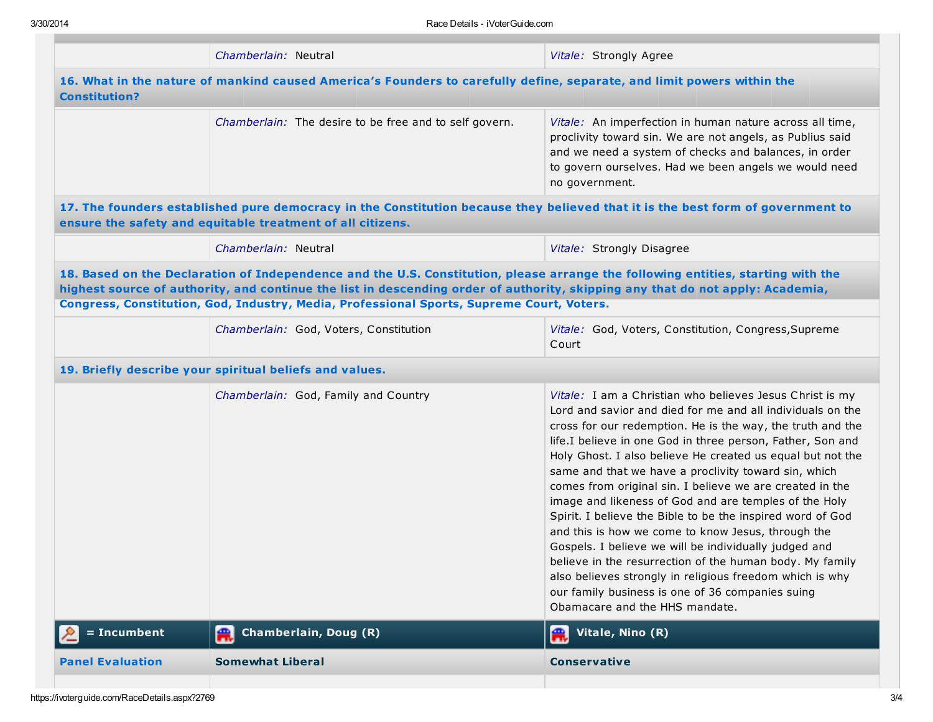|                                                                                                                                                                                                                                                                                                                                                                 | Chamberlain: Neutral                                       | Vitale: Strongly Agree                                                                                                                                                                                                                                                                                                                                                                                                                                                                                                                                                                                                                                                                                                                                                                                                       |  |  |
|-----------------------------------------------------------------------------------------------------------------------------------------------------------------------------------------------------------------------------------------------------------------------------------------------------------------------------------------------------------------|------------------------------------------------------------|------------------------------------------------------------------------------------------------------------------------------------------------------------------------------------------------------------------------------------------------------------------------------------------------------------------------------------------------------------------------------------------------------------------------------------------------------------------------------------------------------------------------------------------------------------------------------------------------------------------------------------------------------------------------------------------------------------------------------------------------------------------------------------------------------------------------------|--|--|
| 16. What in the nature of mankind caused America's Founders to carefully define, separate, and limit powers within the<br><b>Constitution?</b>                                                                                                                                                                                                                  |                                                            |                                                                                                                                                                                                                                                                                                                                                                                                                                                                                                                                                                                                                                                                                                                                                                                                                              |  |  |
|                                                                                                                                                                                                                                                                                                                                                                 | Chamberlain: The desire to be free and to self govern.     | Vitale: An imperfection in human nature across all time,<br>proclivity toward sin. We are not angels, as Publius said<br>and we need a system of checks and balances, in order<br>to govern ourselves. Had we been angels we would need<br>no government.                                                                                                                                                                                                                                                                                                                                                                                                                                                                                                                                                                    |  |  |
|                                                                                                                                                                                                                                                                                                                                                                 | ensure the safety and equitable treatment of all citizens. | 17. The founders established pure democracy in the Constitution because they believed that it is the best form of government to                                                                                                                                                                                                                                                                                                                                                                                                                                                                                                                                                                                                                                                                                              |  |  |
|                                                                                                                                                                                                                                                                                                                                                                 | Chamberlain: Neutral                                       | Vitale: Strongly Disagree                                                                                                                                                                                                                                                                                                                                                                                                                                                                                                                                                                                                                                                                                                                                                                                                    |  |  |
| 18. Based on the Declaration of Independence and the U.S. Constitution, please arrange the following entities, starting with the<br>highest source of authority, and continue the list in descending order of authority, skipping any that do not apply: Academia,<br>Congress, Constitution, God, Industry, Media, Professional Sports, Supreme Court, Voters. |                                                            |                                                                                                                                                                                                                                                                                                                                                                                                                                                                                                                                                                                                                                                                                                                                                                                                                              |  |  |
|                                                                                                                                                                                                                                                                                                                                                                 | Chamberlain: God, Voters, Constitution                     | Vitale: God, Voters, Constitution, Congress, Supreme<br>Court                                                                                                                                                                                                                                                                                                                                                                                                                                                                                                                                                                                                                                                                                                                                                                |  |  |
|                                                                                                                                                                                                                                                                                                                                                                 | 19. Briefly describe your spiritual beliefs and values.    |                                                                                                                                                                                                                                                                                                                                                                                                                                                                                                                                                                                                                                                                                                                                                                                                                              |  |  |
|                                                                                                                                                                                                                                                                                                                                                                 | Chamberlain: God, Family and Country                       | Vitale: I am a Christian who believes Jesus Christ is my                                                                                                                                                                                                                                                                                                                                                                                                                                                                                                                                                                                                                                                                                                                                                                     |  |  |
|                                                                                                                                                                                                                                                                                                                                                                 |                                                            | Lord and savior and died for me and all individuals on the<br>cross for our redemption. He is the way, the truth and the<br>life.I believe in one God in three person, Father, Son and<br>Holy Ghost. I also believe He created us equal but not the<br>same and that we have a proclivity toward sin, which<br>comes from original sin. I believe we are created in the<br>image and likeness of God and are temples of the Holy<br>Spirit. I believe the Bible to be the inspired word of God<br>and this is how we come to know Jesus, through the<br>Gospels. I believe we will be individually judged and<br>believe in the resurrection of the human body. My family<br>also believes strongly in religious freedom which is why<br>our family business is one of 36 companies suing<br>Obamacare and the HHS mandate. |  |  |
| = Incumbent                                                                                                                                                                                                                                                                                                                                                     | Chamberlain, Doug (R)<br>H.                                | Vitale, Nino (R)<br>IA.                                                                                                                                                                                                                                                                                                                                                                                                                                                                                                                                                                                                                                                                                                                                                                                                      |  |  |